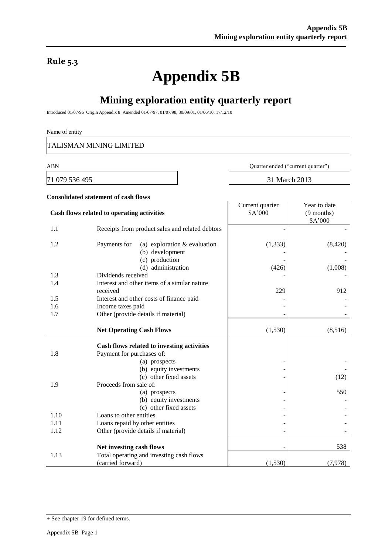### **Rule 5.3**

# **Appendix 5B**

# **Mining exploration entity quarterly report**

Introduced 01/07/96 Origin Appendix 8 Amended 01/07/97, 01/07/98, 30/09/01, 01/06/10, 17/12/10

#### Name of entity

TALISMAN MINING LIMITED

71 079 536 495 31 March 2013

ABN Quarter ended ("current quarter")

Year to date

Current quarter

## **Consolidated statement of cash flows Cash flows related to operating activities**

|      | Cash flows related to operating activities                              | \$A'000  | $(9$ months)<br>\$A'000 |
|------|-------------------------------------------------------------------------|----------|-------------------------|
| 1.1  | Receipts from product sales and related debtors                         |          |                         |
|      |                                                                         |          |                         |
| 1.2  | (a) exploration $&$ evaluation<br>Payments for                          | (1, 333) | (8, 420)                |
|      | (b) development                                                         |          |                         |
|      | (c) production                                                          |          |                         |
|      | (d) administration                                                      | (426)    | (1,008)                 |
| 1.3  | Dividends received<br>Interest and other items of a similar nature      |          |                         |
| 1.4  | received                                                                | 229      | 912                     |
| 1.5  | Interest and other costs of finance paid                                |          |                         |
| 1.6  | Income taxes paid                                                       |          |                         |
| 1.7  | Other (provide details if material)                                     |          |                         |
|      |                                                                         |          |                         |
|      | <b>Net Operating Cash Flows</b>                                         | (1,530)  | (8,516)                 |
|      |                                                                         |          |                         |
| 1.8  | Cash flows related to investing activities<br>Payment for purchases of: |          |                         |
|      | (a) prospects                                                           |          |                         |
|      | (b) equity investments                                                  |          |                         |
|      | (c) other fixed assets                                                  |          | (12)                    |
| 1.9  | Proceeds from sale of:                                                  |          |                         |
|      | (a) prospects                                                           |          | 550                     |
|      | (b) equity investments                                                  |          |                         |
|      | (c) other fixed assets                                                  |          |                         |
| 1.10 | Loans to other entities                                                 |          |                         |
| 1.11 | Loans repaid by other entities                                          |          |                         |
| 1.12 | Other (provide details if material)                                     |          |                         |
|      |                                                                         |          |                         |
| 1.13 | Net investing cash flows                                                |          | 538                     |
|      | Total operating and investing cash flows<br>(carried forward)           | (1,530)  | (7,978)                 |
|      |                                                                         |          |                         |

<sup>+</sup> See chapter 19 for defined terms.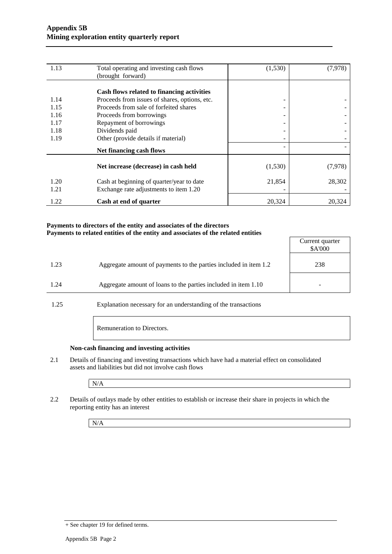| 1.13 | Total operating and investing cash flows      | (1,530)                  | (7, 978) |
|------|-----------------------------------------------|--------------------------|----------|
|      | (brought forward)                             |                          |          |
|      |                                               |                          |          |
|      | Cash flows related to financing activities    |                          |          |
| 1.14 | Proceeds from issues of shares, options, etc. | -                        |          |
| 1.15 | Proceeds from sale of forfeited shares        | -                        |          |
| 1.16 | Proceeds from borrowings                      | -                        |          |
| 1.17 | Repayment of borrowings                       | $\overline{\phantom{a}}$ |          |
| 1.18 | Dividends paid                                |                          |          |
| 1.19 | Other (provide details if material)           |                          |          |
|      | <b>Net financing cash flows</b>               |                          |          |
|      |                                               |                          |          |
|      | Net increase (decrease) in cash held          | (1,530)                  | (7,978)  |
| 1.20 | Cash at beginning of quarter/year to date     | 21,854                   | 28,302   |
| 1.21 | Exchange rate adjustments to item 1.20        |                          |          |
| 1.22 | Cash at end of quarter                        | 20,324                   | 20,324   |

#### **Payments to directors of the entity and associates of the directors Payments to related entities of the entity and associates of the related entities**

|      |                                                                  | Current quarter<br>\$A'000 |
|------|------------------------------------------------------------------|----------------------------|
| 1.23 | Aggregate amount of payments to the parties included in item 1.2 | 238                        |
| 1.24 | Aggregate amount of loans to the parties included in item 1.10   |                            |
|      |                                                                  |                            |

1.25 Explanation necessary for an understanding of the transactions

Remuneration to Directors.

#### **Non-cash financing and investing activities**

2.1 Details of financing and investing transactions which have had a material effect on consolidated assets and liabilities but did not involve cash flows

N/A

2.2 Details of outlays made by other entities to establish or increase their share in projects in which the reporting entity has an interest

N/A

<sup>+</sup> See chapter 19 for defined terms.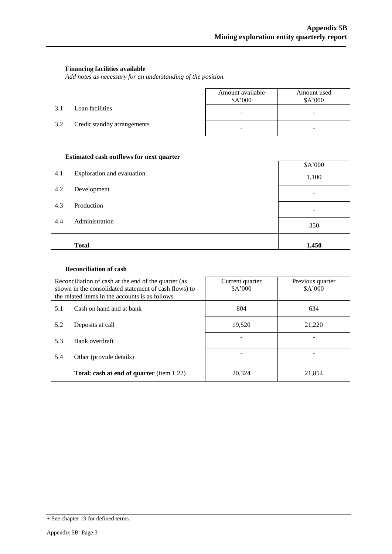#### **Financing facilities available**

*Add notes as necessary for an understanding of the position.*

|     |                             | Amount available<br>\$A'000 | Amount used<br>\$A'000   |
|-----|-----------------------------|-----------------------------|--------------------------|
| 3.1 | Loan facilities             | $\overline{\phantom{0}}$    | $\overline{\phantom{a}}$ |
| 3.2 | Credit standby arrangements | -                           |                          |

#### **Estimated cash outflows for next quarter**

| 4.1 | Exploration and evaluation | \$A'000<br>1,100 |
|-----|----------------------------|------------------|
| 4.2 | Development                |                  |
| 4.3 | Production                 |                  |
| 4.4 | Administration             | 350              |
|     | <b>Total</b>               | 1,450            |

#### **Reconciliation of cash**

| Reconciliation of cash at the end of the quarter (as<br>shown in the consolidated statement of cash flows) to<br>the related items in the accounts is as follows. |  | Current quarter<br>\$A'000 | Previous quarter<br>\$A'000 |  |
|-------------------------------------------------------------------------------------------------------------------------------------------------------------------|--|----------------------------|-----------------------------|--|
| Cash on hand and at bank<br>5.1                                                                                                                                   |  | 804                        | 634                         |  |
| Deposits at call<br>5.2<br>Bank overdraft<br>5.3<br>Other (provide details)<br>5.4<br><b>Total: cash at end of quarter</b> (item 1.22)                            |  | 19.520                     | 21,220                      |  |
|                                                                                                                                                                   |  |                            |                             |  |
|                                                                                                                                                                   |  |                            |                             |  |
|                                                                                                                                                                   |  | 20,324                     | 21,854                      |  |

<sup>+</sup> See chapter 19 for defined terms.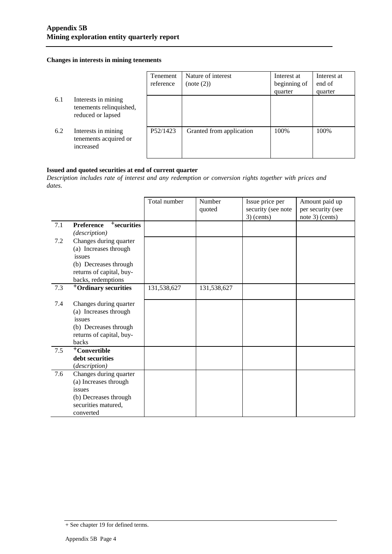#### **Changes in interests in mining tenements**

|     |                                                                     | Tenement<br>reference | Nature of interest<br>(note (2)) | Interest at<br>beginning of<br>quarter | Interest at<br>end of<br>quarter |
|-----|---------------------------------------------------------------------|-----------------------|----------------------------------|----------------------------------------|----------------------------------|
| 6.1 | Interests in mining<br>tenements relinquished,<br>reduced or lapsed |                       |                                  |                                        |                                  |
| 6.2 | Interests in mining<br>tenements acquired or<br>increased           | P52/1423              | Granted from application         | 100%                                   | 100%                             |

#### **Issued and quoted securities at end of current quarter**

*Description includes rate of interest and any redemption or conversion rights together with prices and dates.*

|     |                                              | Total number | Number<br>quoted | Issue price per<br>security (see note<br>$3)$ (cents) | Amount paid up<br>per security (see<br>note 3) (cents) |
|-----|----------------------------------------------|--------------|------------------|-------------------------------------------------------|--------------------------------------------------------|
| 7.1 | <sup>+</sup> securities<br><b>Preference</b> |              |                  |                                                       |                                                        |
|     | (description)                                |              |                  |                                                       |                                                        |
| 7.2 | Changes during quarter                       |              |                  |                                                       |                                                        |
|     | (a) Increases through                        |              |                  |                                                       |                                                        |
|     | issues                                       |              |                  |                                                       |                                                        |
|     | (b) Decreases through                        |              |                  |                                                       |                                                        |
|     | returns of capital, buy-                     |              |                  |                                                       |                                                        |
|     | backs, redemptions                           |              |                  |                                                       |                                                        |
| 7.3 | <sup>+</sup> Ordinary securities             | 131,538,627  | 131,538,627      |                                                       |                                                        |
|     |                                              |              |                  |                                                       |                                                        |
| 7.4 | Changes during quarter                       |              |                  |                                                       |                                                        |
|     | (a) Increases through                        |              |                  |                                                       |                                                        |
|     | issues                                       |              |                  |                                                       |                                                        |
|     | (b) Decreases through                        |              |                  |                                                       |                                                        |
|     | returns of capital, buy-                     |              |                  |                                                       |                                                        |
|     | backs                                        |              |                  |                                                       |                                                        |
| 7.5 | <sup>+</sup> Convertible                     |              |                  |                                                       |                                                        |
|     | debt securities                              |              |                  |                                                       |                                                        |
|     | (description)                                |              |                  |                                                       |                                                        |
| 7.6 | Changes during quarter                       |              |                  |                                                       |                                                        |
|     | (a) Increases through                        |              |                  |                                                       |                                                        |
|     | issues                                       |              |                  |                                                       |                                                        |
|     | (b) Decreases through                        |              |                  |                                                       |                                                        |
|     | securities matured,                          |              |                  |                                                       |                                                        |
|     | converted                                    |              |                  |                                                       |                                                        |

<sup>+</sup> See chapter 19 for defined terms.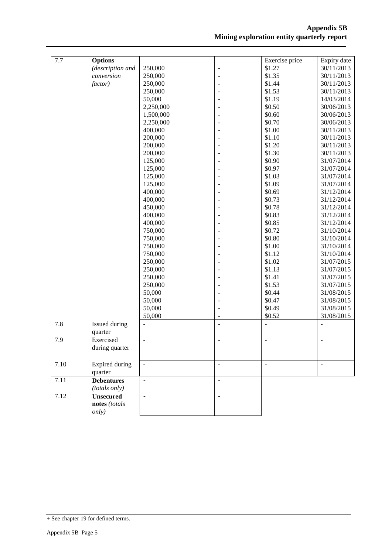| 7.7  | <b>Options</b>    |                |                          | Exercise price           | Expiry date   |
|------|-------------------|----------------|--------------------------|--------------------------|---------------|
|      | (description and  | 250,000        | $\overline{\phantom{a}}$ | \$1.27                   | 30/11/2013    |
|      | conversion        | 250,000        | ÷,                       | \$1.35                   | 30/11/2013    |
|      | factor)           | 250,000        |                          | \$1.44                   | 30/11/2013    |
|      |                   | 250,000        |                          | \$1.53                   | 30/11/2013    |
|      |                   | 50,000         |                          | \$1.19                   | 14/03/2014    |
|      |                   | 2,250,000      |                          | \$0.50                   | 30/06/2013    |
|      |                   | 1,500,000      |                          | \$0.60                   | 30/06/2013    |
|      |                   | 2,250,000      |                          | \$0.70                   | 30/06/2013    |
|      |                   | 400,000        |                          | \$1.00                   | 30/11/2013    |
|      |                   | 200,000        |                          | \$1.10                   | 30/11/2013    |
|      |                   | 200,000        |                          | \$1.20                   | 30/11/2013    |
|      |                   | 200,000        |                          | \$1.30                   | 30/11/2013    |
|      |                   | 125,000        |                          | \$0.90                   | 31/07/2014    |
|      |                   | 125,000        |                          | \$0.97                   | 31/07/2014    |
|      |                   | 125,000        |                          | \$1.03                   | 31/07/2014    |
|      |                   | 125,000        |                          | \$1.09                   | 31/07/2014    |
|      |                   | 400,000        |                          | \$0.69                   | 31/12/2014    |
|      |                   | 400,000        |                          | \$0.73                   | 31/12/2014    |
|      |                   | 450,000        |                          | \$0.78                   | 31/12/2014    |
|      |                   | 400,000        |                          | \$0.83                   | 31/12/2014    |
|      |                   | 400,000        |                          | \$0.85                   | 31/12/2014    |
|      |                   | 750,000        |                          | \$0.72                   | 31/10/2014    |
|      |                   | 750,000        |                          | \$0.80                   | 31/10/2014    |
|      |                   | 750,000        |                          | \$1.00                   | 31/10/2014    |
|      |                   | 750,000        |                          | \$1.12                   | 31/10/2014    |
|      |                   | 250,000        |                          | \$1.02                   | 31/07/2015    |
|      |                   | 250,000        |                          | \$1.13                   | 31/07/2015    |
|      |                   | 250,000        |                          | \$1.41                   | 31/07/2015    |
|      |                   | 250,000        |                          | \$1.53                   | 31/07/2015    |
|      |                   | 50,000         |                          | \$0.44                   | 31/08/2015    |
|      |                   | 50,000         |                          | \$0.47                   | 31/08/2015    |
|      |                   | 50,000         |                          | \$0.49                   | 31/08/2015    |
|      |                   | 50,000         |                          | \$0.52                   | 31/08/2015    |
| 7.8  | Issued during     | $\overline{a}$ |                          |                          |               |
|      | quarter           |                |                          |                          |               |
| 7.9  | Exercised         | $\overline{a}$ | $\blacksquare$           | $\overline{\phantom{a}}$ | $\sim$        |
|      | during quarter    |                |                          |                          |               |
|      |                   |                |                          |                          |               |
| 7.10 | Expired during    | $\Box$         | $\overline{a}$           | $\bar{\mathcal{L}}$      | $\frac{1}{2}$ |
|      | quarter           |                |                          |                          |               |
| 7.11 | <b>Debentures</b> | $\frac{1}{2}$  | $\overline{a}$           |                          |               |
|      | (totals only)     |                |                          |                          |               |
| 7.12 | <b>Unsecured</b>  | $\overline{a}$ | $\overline{\phantom{a}}$ |                          |               |
|      | notes (totals     |                |                          |                          |               |
|      | only)             |                |                          |                          |               |
|      |                   |                |                          |                          |               |

<sup>+</sup> See chapter 19 for defined terms.